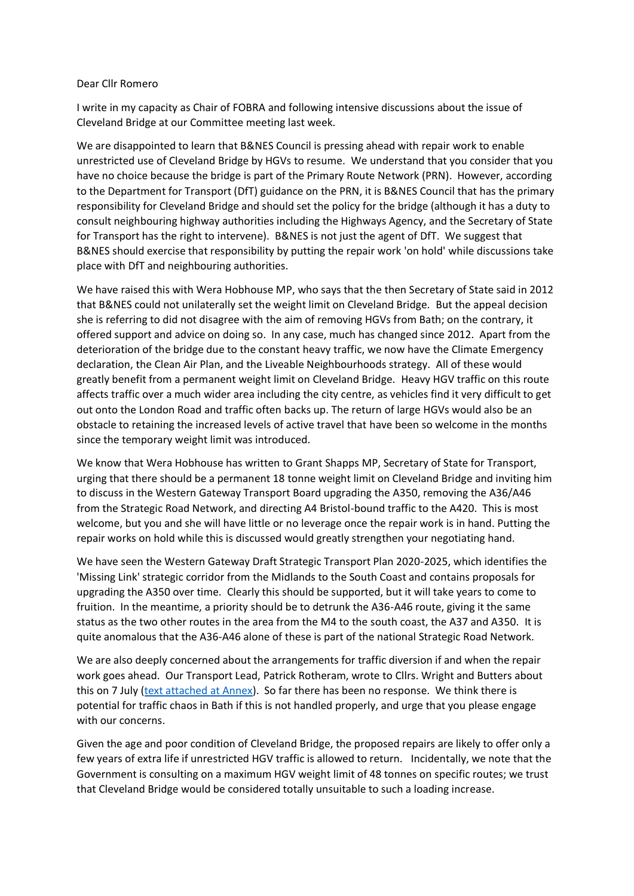## Dear Cllr Romero

I write in my capacity as Chair of FOBRA and following intensive discussions about the issue of Cleveland Bridge at our Committee meeting last week.

We are disappointed to learn that B&NES Council is pressing ahead with repair work to enable unrestricted use of Cleveland Bridge by HGVs to resume. We understand that you consider that you have no choice because the bridge is part of the Primary Route Network (PRN). However, according to the Department for Transport (DfT) guidance on the PRN, it is B&NES Council that has the primary responsibility for Cleveland Bridge and should set the policy for the bridge (although it has a duty to consult neighbouring highway authorities including the Highways Agency, and the Secretary of State for Transport has the right to intervene). B&NES is not just the agent of DfT. We suggest that B&NES should exercise that responsibility by putting the repair work 'on hold' while discussions take place with DfT and neighbouring authorities.

We have raised this with Wera Hobhouse MP, who says that the then Secretary of State said in 2012 that B&NES could not unilaterally set the weight limit on Cleveland Bridge. But the appeal decision she is referring to did not disagree with the aim of removing HGVs from Bath; on the contrary, it offered support and advice on doing so. In any case, much has changed since 2012. Apart from the deterioration of the bridge due to the constant heavy traffic, we now have the Climate Emergency declaration, the Clean Air Plan, and the Liveable Neighbourhoods strategy. All of these would greatly benefit from a permanent weight limit on Cleveland Bridge. Heavy HGV traffic on this route affects traffic over a much wider area including the city centre, as vehicles find it very difficult to get out onto the London Road and traffic often backs up. The return of large HGVs would also be an obstacle to retaining the increased levels of active travel that have been so welcome in the months since the temporary weight limit was introduced.

We know that Wera Hobhouse has written to Grant Shapps MP, Secretary of State for Transport, urging that there should be a permanent 18 tonne weight limit on Cleveland Bridge and inviting him to discuss in the Western Gateway Transport Board upgrading the A350, removing the A36/A46 from the Strategic Road Network, and directing A4 Bristol-bound traffic to the A420. This is most welcome, but you and she will have little or no leverage once the repair work is in hand. Putting the repair works on hold while this is discussed would greatly strengthen your negotiating hand.

We have seen the Western Gateway Draft Strategic Transport Plan 2020-2025, which identifies the 'Missing Link' strategic corridor from the Midlands to the South Coast and contains proposals for upgrading the A350 over time. Clearly this should be supported, but it will take years to come to fruition. In the meantime, a priority should be to detrunk the A36-A46 route, giving it the same status as the two other routes in the area from the M4 to the south coast, the A37 and A350. It is quite anomalous that the A36-A46 alone of these is part of the national Strategic Road Network.

We are also deeply concerned about the arrangements for traffic diversion if and when the repair work goes ahead. Our Transport Lead, Patrick Rotheram, wrote to Cllrs. Wright and Butters about this on 7 July [\(text attached at Annex\)](http://www.bathresidents.org.uk/docs/other/cleveland-bridge-lba-comments-by-fobra.pdf). So far there has been no response. We think there is potential for traffic chaos in Bath if this is not handled properly, and urge that you please engage with our concerns.

Given the age and poor condition of Cleveland Bridge, the proposed repairs are likely to offer only a few years of extra life if unrestricted HGV traffic is allowed to return. Incidentally, we note that the Government is consulting on a maximum HGV weight limit of 48 tonnes on specific routes; we trust that Cleveland Bridge would be considered totally unsuitable to such a loading increase.